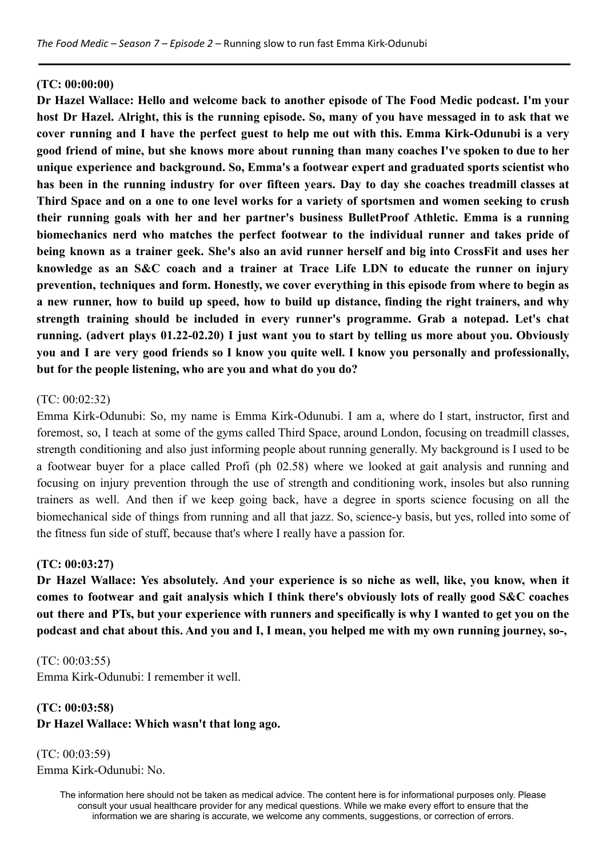#### **(TC: 00:00:00)**

**Dr Hazel Wallace: Hello and welcome back to another episode of The Food Medic podcast. I'm your** host Dr Hazel. Alright, this is the running episode. So, many of you have messaged in to ask that we cover running and I have the perfect guest to help me out with this. Emma Kirk-Odunubi is a very good friend of mine, but she knows more about running than many coaches I've spoken to due to her **unique experience and background. So, Emma's a footwear expert and graduated sports scientist who** has been in the running industry for over fifteen vears. Day to day she coaches treadmill classes at Third Space and on a one to one level works for a variety of sportsmen and women seeking to crush **their running goals with her and her partner's business BulletProof Athletic. Emma is a running biomechanics nerd who matches the perfect footwear to the individual runner and takes pride of** being known as a trainer geek. She's also an avid runner herself and big into CrossFit and uses her **knowledge as an S&C coach and a trainer at Trace Life LDN to educate the runner on injury prevention, techniques and form. Honestly, we cover everything in this episode from where to begin as** a new runner, how to build up speed, how to build up distance, finding the right trainers, and why **strength training should be included in every runner's programme. Grab a notepad. Let's chat running. (advert plays 01.22-02.20) I just want you to start by telling us more about you. Obviously** you and I are very good friends so I know you quite well. I know you personally and professionally, **but for the people listening, who are you and what do you do?**

#### (TC: 00:02:32)

Emma Kirk-Odunubi: So, my name is Emma Kirk-Odunubi. I am a, where do I start, instructor, first and foremost, so, I teach at some of the gyms called Third Space, around London, focusing on treadmill classes, strength conditioning and also just informing people about running generally. My background is I used to be a footwear buyer for a place called Profi (ph 02.58) where we looked at gait analysis and running and focusing on injury prevention through the use of strength and conditioning work, insoles but also running trainers as well. And then if we keep going back, have a degree in sports science focusing on all the biomechanical side of things from running and all that jazz. So, science-y basis, but yes, rolled into some of the fitness fun side of stuff, because that's where I really have a passion for.

#### **(TC: 00:03:27)**

**Dr Hazel Wallace: Yes absolutely. And your experience is so niche as well, like, you know, when it comes to footwear and gait analysis which I think there's obviously lots of really good S&C coaches** out there and PTs, but your experience with runners and specifically is why I wanted to get you on the **podcast and chat about this. And you and I, I mean, you helped me with my own running journey, so-,**

#### (TC: 00:03:55)

Emma Kirk-Odunubi: I remember it well.

# **(TC: 00:03:58)**

**Dr Hazel Wallace: Which wasn't that long ago.**

(TC: 00:03:59) Emma Kirk-Odunubi: No.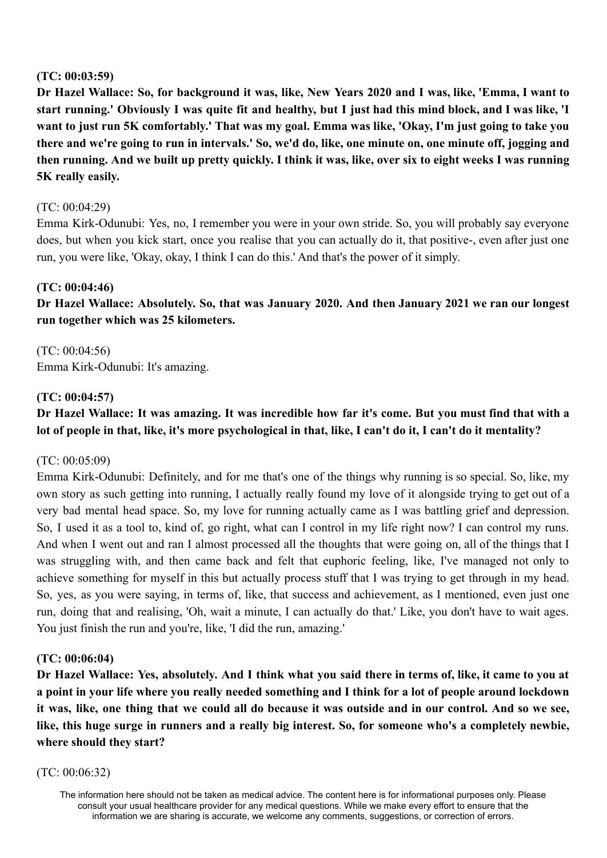## **(TC: 00:03:59)**

Dr Hazel Wallace: So, for background it was, like, New Years 2020 and I was, like, 'Emma, I want to start running.' Obviously I was quite fit and healthy, but I just had this mind block, and I was like, 'I want to just run 5K comfortably.' That was my goal. Emma was like, 'Okay, I'm just going to take you there and we're going to run in intervals.' So, we'd do, like, one minute on, one minute off, jogging and then running. And we built up pretty quickly. I think it was, like, over six to eight weeks I was running **5K really easily.**

## (TC: 00:04:29)

Emma Kirk-Odunubi: Yes, no, I remember you were in your own stride. So, you will probably say everyone does, but when you kick start, once you realise that you can actually do it, that positive-, even after just one run, you were like, 'Okay, okay, I think I can do this.' And that's the power of it simply.

### **(TC: 00:04:46)**

**Dr Hazel Wallace: Absolutely. So, that was January 2020. And then January 2021 we ran our longest run together which was 25 kilometers.**

(TC: 00:04:56) Emma Kirk-Odunubi: It's amazing.

### **(TC: 00:04:57)**

# Dr Hazel Wallace: It was amazing. It was incredible how far it's come. But you must find that with a **lot of people in that, like, it's more psychological in that, like, I can't do it, I can't do it mentality?**

#### (TC: 00:05:09)

Emma Kirk-Odunubi: Definitely, and for me that's one of the things why running is so special. So, like, my own story as such getting into running, I actually really found my love of it alongside trying to get out of a very bad mental head space. So, my love for running actually came as I was battling grief and depression. So, I used it as a tool to, kind of, go right, what can I control in my life right now? I can control my runs. And when I went out and ran I almost processed all the thoughts that were going on, all of the things that I was struggling with, and then came back and felt that euphoric feeling, like, I've managed not only to achieve something for myself in this but actually process stuff that I was trying to get through in my head. So, yes, as you were saying, in terms of, like, that success and achievement, as I mentioned, even just one run, doing that and realising, 'Oh, wait a minute, I can actually do that.' Like, you don't have to wait ages. You just finish the run and you're, like, 'I did the run, amazing.'

#### **(TC: 00:06:04)**

Dr Hazel Wallace: Yes, absolutely. And I think what you said there in terms of, like, it came to you at a point in your life where you really needed something and I think for a lot of people around lockdown it was, like, one thing that we could all do because it was outside and in our control. And so we see, like, this huge surge in runners and a really big interest. So, for someone who's a completely newbie, **where should they start?**

#### (TC: 00:06:32)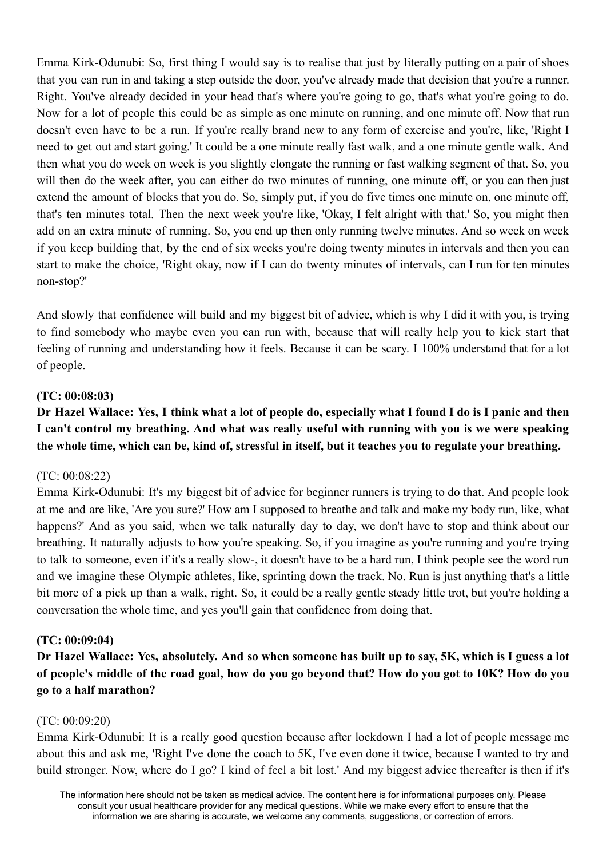Emma Kirk-Odunubi: So, first thing I would say is to realise that just by literally putting on a pair of shoes that you can run in and taking a step outside the door, you've already made that decision that you're a runner. Right. You've already decided in your head that's where you're going to go, that's what you're going to do. Now for a lot of people this could be as simple as one minute on running, and one minute off. Now that run doesn't even have to be a run. If you're really brand new to any form of exercise and you're, like, 'Right I need to get out and start going.' It could be a one minute really fast walk, and a one minute gentle walk. And then what you do week on week is you slightly elongate the running or fast walking segment of that. So, you will then do the week after, you can either do two minutes of running, one minute off, or you can then just extend the amount of blocks that you do. So, simply put, if you do five times one minute on, one minute off, that's ten minutes total. Then the next week you're like, 'Okay, I felt alright with that.' So, you might then add on an extra minute of running. So, you end up then only running twelve minutes. And so week on week if you keep building that, by the end of six weeks you're doing twenty minutes in intervals and then you can start to make the choice, 'Right okay, now if I can do twenty minutes of intervals, can I run for ten minutes non-stop?'

And slowly that confidence will build and my biggest bit of advice, which is why I did it with you, is trying to find somebody who maybe even you can run with, because that will really help you to kick start that feeling of running and understanding how it feels. Because it can be scary. I 100% understand that for a lot of people.

### **(TC: 00:08:03)**

# Dr Hazel Wallace: Yes, I think what a lot of people do, especially what I found I do is I panic and then **I can't control my breathing. And what was really useful with running with you is we were speaking the whole time, which can be, kind of, stressful in itself, but it teaches you to regulate your breathing.**

#### (TC: 00:08:22)

Emma Kirk-Odunubi: It's my biggest bit of advice for beginner runners is trying to do that. And people look at me and are like, 'Are you sure?' How am I supposed to breathe and talk and make my body run, like, what happens?' And as you said, when we talk naturally day to day, we don't have to stop and think about our breathing. It naturally adjusts to how you're speaking. So, if you imagine as you're running and you're trying to talk to someone, even if it's a really slow-, it doesn't have to be a hard run, I think people see the word run and we imagine these Olympic athletes, like, sprinting down the track. No. Run is just anything that's a little bit more of a pick up than a walk, right. So, it could be a really gentle steady little trot, but you're holding a conversation the whole time, and yes you'll gain that confidence from doing that.

#### **(TC: 00:09:04)**

Dr Hazel Wallace: Yes, absolutely. And so when someone has built up to say, 5K, which is I guess a lot of people's middle of the road goal, how do you go beyond that? How do you got to 10K? How do you **go to a half marathon?**

#### (TC: 00:09:20)

Emma Kirk-Odunubi: It is a really good question because after lockdown I had a lot of people message me about this and ask me, 'Right I've done the coach to 5K, I've even done it twice, because I wanted to try and build stronger. Now, where do I go? I kind of feel a bit lost.' And my biggest advice thereafter is then if it's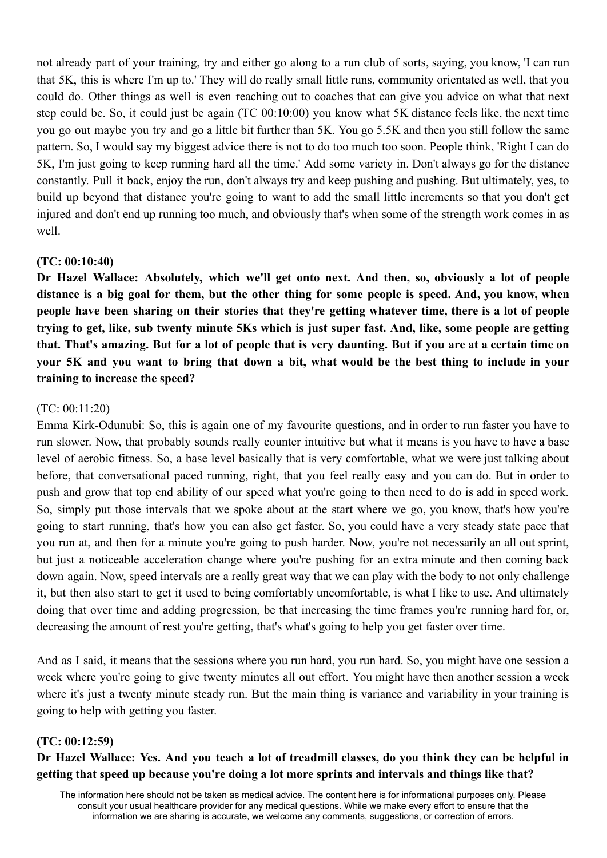not already part of your training, try and either go along to a run club of sorts, saying, you know, 'I can run that 5K, this is where I'm up to.' They will do really small little runs, community orientated as well, that you could do. Other things as well is even reaching out to coaches that can give you advice on what that next step could be. So, it could just be again (TC 00:10:00) you know what 5K distance feels like, the next time you go out maybe you try and go a little bit further than 5K. You go 5.5K and then you still follow the same pattern. So, I would say my biggest advice there is not to do too much too soon. People think, 'Right I can do 5K, I'm just going to keep running hard all the time.' Add some variety in. Don't always go for the distance constantly. Pull it back, enjoy the run, don't always try and keep pushing and pushing. But ultimately, yes, to build up beyond that distance you're going to want to add the small little increments so that you don't get injured and don't end up running too much, and obviously that's when some of the strength work comes in as well.

### **(TC: 00:10:40)**

**Dr Hazel Wallace: Absolutely, which we'll get onto next. And then, so, obviously a lot of people** distance is a big goal for them, but the other thing for some people is speed. And, you know, when people have been sharing on their stories that they're getting whatever time, there is a lot of people trying to get, like, sub twenty minute 5Ks which is just super fast. And, like, some people are getting that. That's amazing. But for a lot of people that is very daunting. But if you are at a certain time on your 5K and you want to bring that down a bit, what would be the best thing to include in your **training to increase the speed?**

# (TC: 00:11:20)

Emma Kirk-Odunubi: So, this is again one of my favourite questions, and in order to run faster you have to run slower. Now, that probably sounds really counter intuitive but what it means is you have to have a base level of aerobic fitness. So, a base level basically that is very comfortable, what we were just talking about before, that conversational paced running, right, that you feel really easy and you can do. But in order to push and grow that top end ability of our speed what you're going to then need to do is add in speed work. So, simply put those intervals that we spoke about at the start where we go, you know, that's how you're going to start running, that's how you can also get faster. So, you could have a very steady state pace that you run at, and then for a minute you're going to push harder. Now, you're not necessarily an all out sprint, but just a noticeable acceleration change where you're pushing for an extra minute and then coming back down again. Now, speed intervals are a really great way that we can play with the body to not only challenge it, but then also start to get it used to being comfortably uncomfortable, is what I like to use. And ultimately doing that over time and adding progression, be that increasing the time frames you're running hard for, or, decreasing the amount of rest you're getting, that's what's going to help you get faster over time.

And as I said, it means that the sessions where you run hard, you run hard. So, you might have one session a week where you're going to give twenty minutes all out effort. You might have then another session a week where it's just a twenty minute steady run. But the main thing is variance and variability in your training is going to help with getting you faster.

#### **(TC: 00:12:59)**

# Dr Hazel Wallace: Yes. And you teach a lot of treadmill classes, do you think they can be helpful in **getting that speed up because you're doing a lot more sprints and intervals and things like that?**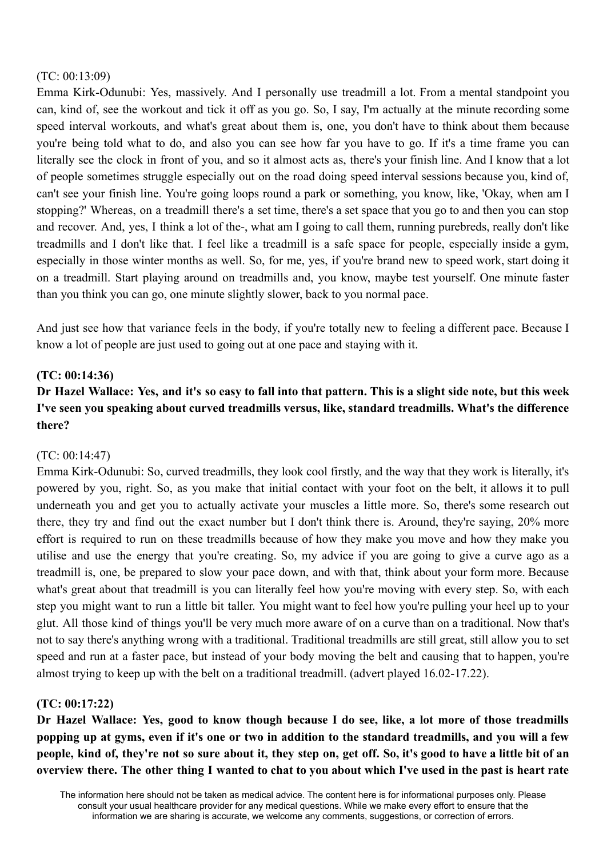### (TC: 00:13:09)

Emma Kirk-Odunubi: Yes, massively. And I personally use treadmill a lot. From a mental standpoint you can, kind of, see the workout and tick it off as you go. So, I say, I'm actually at the minute recording some speed interval workouts, and what's great about them is, one, you don't have to think about them because you're being told what to do, and also you can see how far you have to go. If it's a time frame you can literally see the clock in front of you, and so it almost acts as, there's your finish line. And I know that a lot of people sometimes struggle especially out on the road doing speed interval sessions because you, kind of, can't see your finish line. You're going loops round a park or something, you know, like, 'Okay, when am I stopping?' Whereas, on a treadmill there's a set time, there's a set space that you go to and then you can stop and recover. And, yes, I think a lot of the-, what am I going to call them, running purebreds, really don't like treadmills and I don't like that. I feel like a treadmill is a safe space for people, especially inside a gym, especially in those winter months as well. So, for me, yes, if you're brand new to speed work, start doing it on a treadmill. Start playing around on treadmills and, you know, maybe test yourself. One minute faster than you think you can go, one minute slightly slower, back to you normal pace.

And just see how that variance feels in the body, if you're totally new to feeling a different pace. Because I know a lot of people are just used to going out at one pace and staying with it.

# **(TC: 00:14:36)**

# Dr Hazel Wallace: Yes, and it's so easy to fall into that pattern. This is a slight side note, but this week **I've seen you speaking about curved treadmills versus, like, standard treadmills. What's the difference there?**

# (TC: 00:14:47)

Emma Kirk-Odunubi: So, curved treadmills, they look cool firstly, and the way that they work is literally, it's powered by you, right. So, as you make that initial contact with your foot on the belt, it allows it to pull underneath you and get you to actually activate your muscles a little more. So, there's some research out there, they try and find out the exact number but I don't think there is. Around, they're saying, 20% more effort is required to run on these treadmills because of how they make you move and how they make you utilise and use the energy that you're creating. So, my advice if you are going to give a curve ago as a treadmill is, one, be prepared to slow your pace down, and with that, think about your form more. Because what's great about that treadmill is you can literally feel how you're moving with every step. So, with each step you might want to run a little bit taller. You might want to feel how you're pulling your heel up to your glut. All those kind of things you'll be very much more aware of on a curve than on a traditional. Now that's not to say there's anything wrong with a traditional. Traditional treadmills are still great, still allow you to set speed and run at a faster pace, but instead of your body moving the belt and causing that to happen, you're almost trying to keep up with the belt on a traditional treadmill. (advert played 16.02-17.22).

# **(TC: 00:17:22)**

Dr Hazel Wallace: Yes, good to know though because I do see, like, a lot more of those treadmills popping up at gyms, even if it's one or two in addition to the standard treadmills, and you will a few people, kind of, they're not so sure about it, they step on, get off. So, it's good to have a little bit of an overview there. The other thing I wanted to chat to you about which I've used in the past is heart rate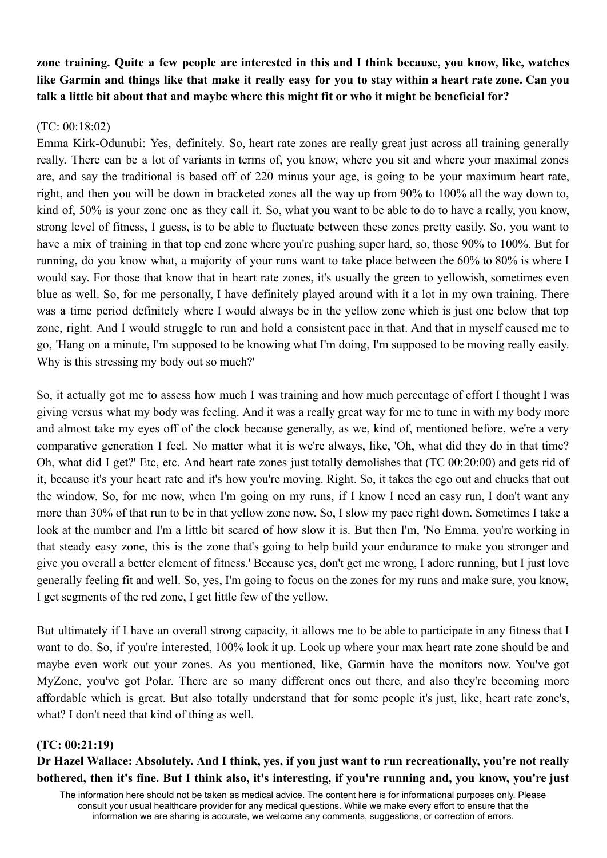zone training. Ouite a few people are interested in this and I think because, you know, like, watches like Garmin and things like that make it really easy for you to stay within a heart rate zone. Can you **talk a little bit about that and maybe where this might fit or who it might be beneficial for?**

### (TC: 00:18:02)

Emma Kirk-Odunubi: Yes, definitely. So, heart rate zones are really great just across all training generally really. There can be a lot of variants in terms of, you know, where you sit and where your maximal zones are, and say the traditional is based off of 220 minus your age, is going to be your maximum heart rate, right, and then you will be down in bracketed zones all the way up from 90% to 100% all the way down to, kind of, 50% is your zone one as they call it. So, what you want to be able to do to have a really, you know, strong level of fitness, I guess, is to be able to fluctuate between these zones pretty easily. So, you want to have a mix of training in that top end zone where you're pushing super hard, so, those 90% to 100%. But for running, do you know what, a majority of your runs want to take place between the 60% to 80% is where I would say. For those that know that in heart rate zones, it's usually the green to yellowish, sometimes even blue as well. So, for me personally, I have definitely played around with it a lot in my own training. There was a time period definitely where I would always be in the yellow zone which is just one below that top zone, right. And I would struggle to run and hold a consistent pace in that. And that in myself caused me to go, 'Hang on a minute, I'm supposed to be knowing what I'm doing, I'm supposed to be moving really easily. Why is this stressing my body out so much?'

So, it actually got me to assess how much I was training and how much percentage of effort I thought I was giving versus what my body was feeling. And it was a really great way for me to tune in with my body more and almost take my eyes off of the clock because generally, as we, kind of, mentioned before, we're a very comparative generation I feel. No matter what it is we're always, like, 'Oh, what did they do in that time? Oh, what did I get?' Etc, etc. And heart rate zones just totally demolishes that (TC 00:20:00) and gets rid of it, because it's your heart rate and it's how you're moving. Right. So, it takes the ego out and chucks that out the window. So, for me now, when I'm going on my runs, if I know I need an easy run, I don't want any more than 30% of that run to be in that yellow zone now. So, I slow my pace right down. Sometimes I take a look at the number and I'm a little bit scared of how slow it is. But then I'm, 'No Emma, you're working in that steady easy zone, this is the zone that's going to help build your endurance to make you stronger and give you overall a better element of fitness.' Because yes, don't get me wrong, I adore running, but I just love generally feeling fit and well. So, yes, I'm going to focus on the zones for my runs and make sure, you know, I get segments of the red zone, I get little few of the yellow.

But ultimately if I have an overall strong capacity, it allows me to be able to participate in any fitness that I want to do. So, if you're interested, 100% look it up. Look up where your max heart rate zone should be and maybe even work out your zones. As you mentioned, like, Garmin have the monitors now. You've got MyZone, you've got Polar. There are so many different ones out there, and also they're becoming more affordable which is great. But also totally understand that for some people it's just, like, heart rate zone's, what? I don't need that kind of thing as well.

#### **(TC: 00:21:19)**

# Dr Hazel Wallace: Absolutely. And I think, yes, if you just want to run recreationally, you're not really bothered, then it's fine. But I think also, it's interesting, if you're running and, you know, you're just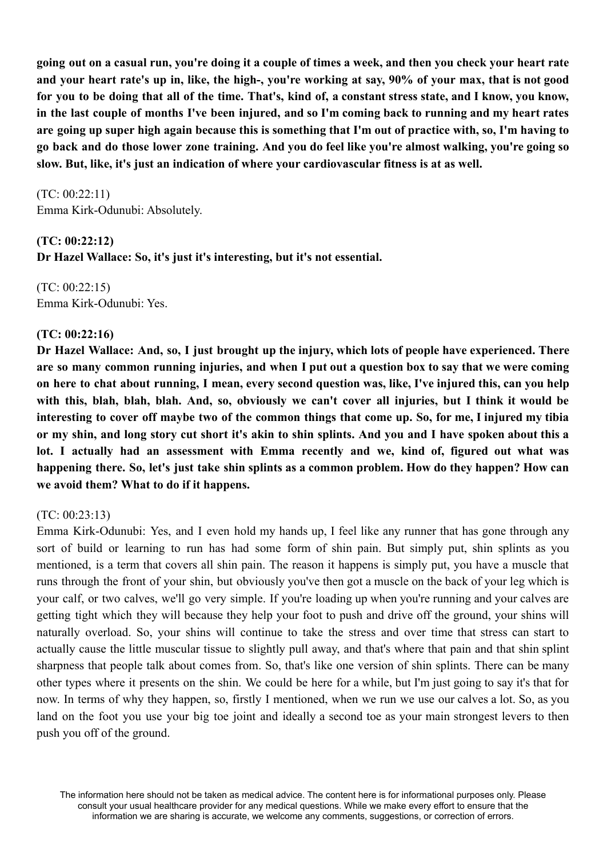going out on a casual run, you're doing it a couple of times a week, and then you check your heart rate and your heart rate's up in, like, the high-, you're working at say, 90% of your max, that is not good for you to be doing that all of the time. That's, kind of, a constant stress state, and I know, you know, in the last couple of months I've been injured, and so I'm coming back to running and my heart rates are going up super high again because this is something that I'm out of practice with, so, I'm having to go back and do those lower zone training. And you do feel like you're almost walking, you're going so **slow. But, like, it's just an indication of where your cardiovascular fitness is at as well.**

(TC: 00:22:11) Emma Kirk-Odunubi: Absolutely.

#### **(TC: 00:22:12)**

**Dr Hazel Wallace: So, it's just it's interesting, but it's not essential.**

(TC: 00:22:15) Emma Kirk-Odunubi: Yes.

### **(TC: 00:22:16)**

Dr Hazel Wallace: And, so, I just brought up the injury, which lots of people have experienced. There are so many common running injuries, and when I put out a question box to say that we were coming on here to chat about running, I mean, every second question was, like, I've injured this, can you help with this, blah, blah, blah. And, so, obviously we can't cover all injuries, but I think it would be interesting to cover off maybe two of the common things that come up. So, for me, I injured my tibia or my shin, and long story cut short it's akin to shin splints. And you and I have spoken about this a **lot. I actually had an assessment with Emma recently and we, kind of, figured out what was happening there. So, let's just take shin splints as a common problem. How do they happen? How can we avoid them? What to do if it happens.**

# (TC: 00:23:13)

Emma Kirk-Odunubi: Yes, and I even hold my hands up, I feel like any runner that has gone through any sort of build or learning to run has had some form of shin pain. But simply put, shin splints as you mentioned, is a term that covers all shin pain. The reason it happens is simply put, you have a muscle that runs through the front of your shin, but obviously you've then got a muscle on the back of your leg which is your calf, or two calves, we'll go very simple. If you're loading up when you're running and your calves are getting tight which they will because they help your foot to push and drive off the ground, your shins will naturally overload. So, your shins will continue to take the stress and over time that stress can start to actually cause the little muscular tissue to slightly pull away, and that's where that pain and that shin splint sharpness that people talk about comes from. So, that's like one version of shin splints. There can be many other types where it presents on the shin. We could be here for a while, but I'm just going to say it's that for now. In terms of why they happen, so, firstly I mentioned, when we run we use our calves a lot. So, as you land on the foot you use your big toe joint and ideally a second toe as your main strongest levers to then push you off of the ground.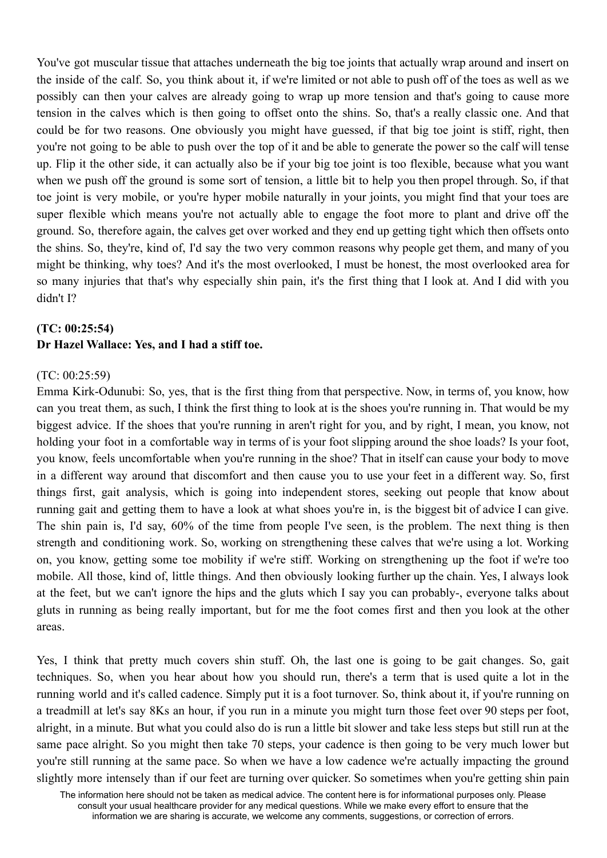You've got muscular tissue that attaches underneath the big toe joints that actually wrap around and insert on the inside of the calf. So, you think about it, if we're limited or not able to push off of the toes as well as we possibly can then your calves are already going to wrap up more tension and that's going to cause more tension in the calves which is then going to offset onto the shins. So, that's a really classic one. And that could be for two reasons. One obviously you might have guessed, if that big toe joint is stiff, right, then you're not going to be able to push over the top of it and be able to generate the power so the calf will tense up. Flip it the other side, it can actually also be if your big toe joint is too flexible, because what you want when we push off the ground is some sort of tension, a little bit to help you then propel through. So, if that toe joint is very mobile, or you're hyper mobile naturally in your joints, you might find that your toes are super flexible which means you're not actually able to engage the foot more to plant and drive off the ground. So, therefore again, the calves get over worked and they end up getting tight which then offsets onto the shins. So, they're, kind of, I'd say the two very common reasons why people get them, and many of you might be thinking, why toes? And it's the most overlooked, I must be honest, the most overlooked area for so many injuries that that's why especially shin pain, it's the first thing that I look at. And I did with you didn't I?

# **(TC: 00:25:54) Dr Hazel Wallace: Yes, and I had a stiff toe.**

### (TC: 00:25:59)

Emma Kirk-Odunubi: So, yes, that is the first thing from that perspective. Now, in terms of, you know, how can you treat them, as such, I think the first thing to look at is the shoes you're running in. That would be my biggest advice. If the shoes that you're running in aren't right for you, and by right, I mean, you know, not holding your foot in a comfortable way in terms of is your foot slipping around the shoe loads? Is your foot, you know, feels uncomfortable when you're running in the shoe? That in itself can cause your body to move in a different way around that discomfort and then cause you to use your feet in a different way. So, first things first, gait analysis, which is going into independent stores, seeking out people that know about running gait and getting them to have a look at what shoes you're in, is the biggest bit of advice I can give. The shin pain is, I'd say, 60% of the time from people I've seen, is the problem. The next thing is then strength and conditioning work. So, working on strengthening these calves that we're using a lot. Working on, you know, getting some toe mobility if we're stiff. Working on strengthening up the foot if we're too mobile. All those, kind of, little things. And then obviously looking further up the chain. Yes, I always look at the feet, but we can't ignore the hips and the gluts which I say you can probably-, everyone talks about gluts in running as being really important, but for me the foot comes first and then you look at the other areas.

Yes, I think that pretty much covers shin stuff. Oh, the last one is going to be gait changes. So, gait techniques. So, when you hear about how you should run, there's a term that is used quite a lot in the running world and it's called cadence. Simply put it is a foot turnover. So, think about it, if you're running on a treadmill at let's say 8Ks an hour, if you run in a minute you might turn those feet over 90 steps per foot, alright, in a minute. But what you could also do is run a little bit slower and take less steps but still run at the same pace alright. So you might then take 70 steps, your cadence is then going to be very much lower but you're still running at the same pace. So when we have a low cadence we're actually impacting the ground slightly more intensely than if our feet are turning over quicker. So sometimes when you're getting shin pain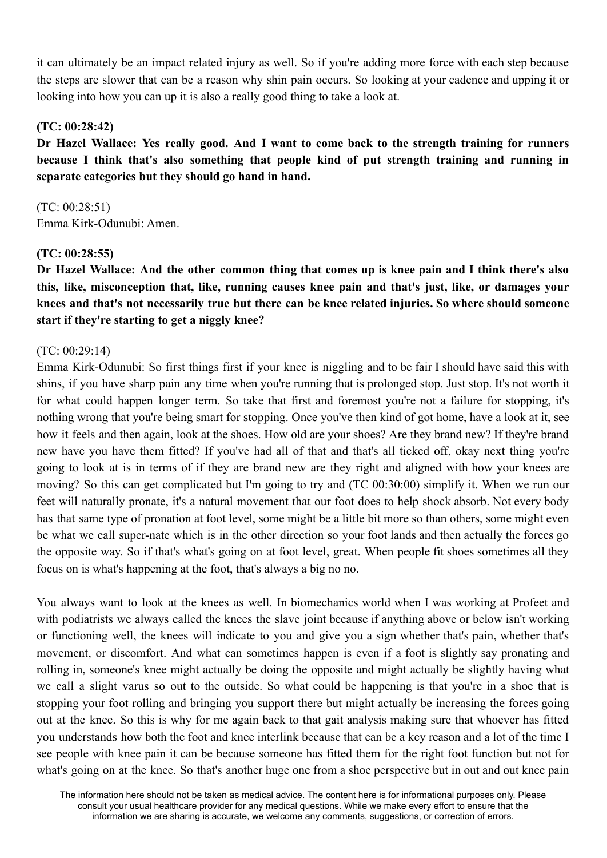it can ultimately be an impact related injury as well. So if you're adding more force with each step because the steps are slower that can be a reason why shin pain occurs. So looking at your cadence and upping it or looking into how you can up it is also a really good thing to take a look at.

# **(TC: 00:28:42)**

**Dr Hazel Wallace: Yes really good. And I want to come back to the strength training for runners because I think that's also something that people kind of put strength training and running in separate categories but they should go hand in hand.**

(TC: 00:28:51) Emma Kirk-Odunubi: Amen.

# **(TC: 00:28:55)**

Dr Hazel Wallace: And the other common thing that comes up is knee pain and I think there's also **this, like, misconception that, like, running causes knee pain and that's just, like, or damages your knees and that's not necessarily true but there can be knee related injuries. So where should someone start if they're starting to get a niggly knee?**

### (TC: 00:29:14)

Emma Kirk-Odunubi: So first things first if your knee is niggling and to be fair I should have said this with shins, if you have sharp pain any time when you're running that is prolonged stop. Just stop. It's not worth it for what could happen longer term. So take that first and foremost you're not a failure for stopping, it's nothing wrong that you're being smart for stopping. Once you've then kind of got home, have a look at it, see how it feels and then again, look at the shoes. How old are your shoes? Are they brand new? If they're brand new have you have them fitted? If you've had all of that and that's all ticked off, okay next thing you're going to look at is in terms of if they are brand new are they right and aligned with how your knees are moving? So this can get complicated but I'm going to try and (TC 00:30:00) simplify it. When we run our feet will naturally pronate, it's a natural movement that our foot does to help shock absorb. Not every body has that same type of pronation at foot level, some might be a little bit more so than others, some might even be what we call super-nate which is in the other direction so your foot lands and then actually the forces go the opposite way. So if that's what's going on at foot level, great. When people fit shoes sometimes all they focus on is what's happening at the foot, that's always a big no no.

You always want to look at the knees as well. In biomechanics world when I was working at Profeet and with podiatrists we always called the knees the slave joint because if anything above or below isn't working or functioning well, the knees will indicate to you and give you a sign whether that's pain, whether that's movement, or discomfort. And what can sometimes happen is even if a foot is slightly say pronating and rolling in, someone's knee might actually be doing the opposite and might actually be slightly having what we call a slight varus so out to the outside. So what could be happening is that you're in a shoe that is stopping your foot rolling and bringing you support there but might actually be increasing the forces going out at the knee. So this is why for me again back to that gait analysis making sure that whoever has fitted you understands how both the foot and knee interlink because that can be a key reason and a lot of the time I see people with knee pain it can be because someone has fitted them for the right foot function but not for what's going on at the knee. So that's another huge one from a shoe perspective but in out and out knee pain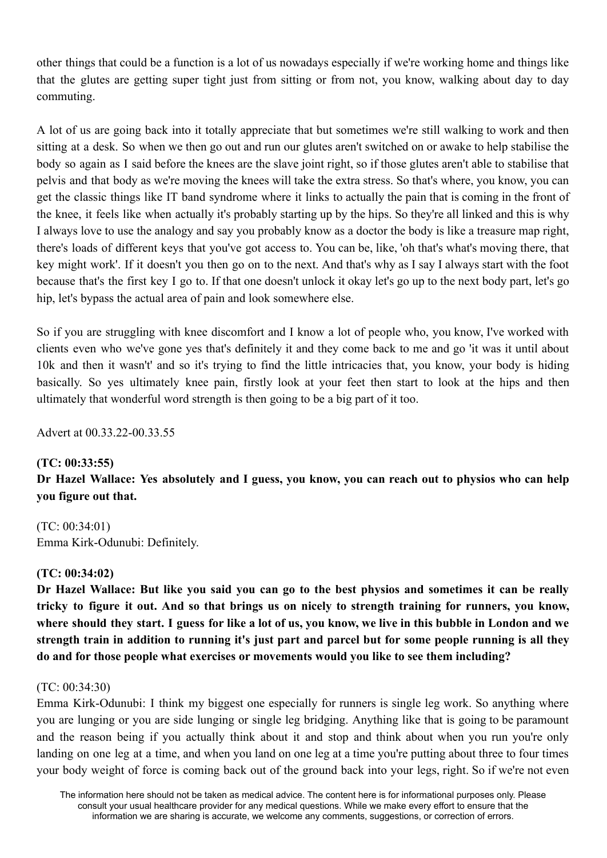other things that could be a function is a lot of us nowadays especially if we're working home and things like that the glutes are getting super tight just from sitting or from not, you know, walking about day to day commuting.

A lot of us are going back into it totally appreciate that but sometimes we're still walking to work and then sitting at a desk. So when we then go out and run our glutes aren't switched on or awake to help stabilise the body so again as I said before the knees are the slave joint right, so if those glutes aren't able to stabilise that pelvis and that body as we're moving the knees will take the extra stress. So that's where, you know, you can get the classic things like IT band syndrome where it links to actually the pain that is coming in the front of the knee, it feels like when actually it's probably starting up by the hips. So they're all linked and this is why I always love to use the analogy and say you probably know as a doctor the body is like a treasure map right, there's loads of different keys that you've got access to. You can be, like, 'oh that's what's moving there, that key might work'. If it doesn't you then go on to the next. And that's why as I say I always start with the foot because that's the first key I go to. If that one doesn't unlock it okay let's go up to the next body part, let's go hip, let's bypass the actual area of pain and look somewhere else.

So if you are struggling with knee discomfort and I know a lot of people who, you know, I've worked with clients even who we've gone yes that's definitely it and they come back to me and go 'it was it until about 10k and then it wasn't' and so it's trying to find the little intricacies that, you know, your body is hiding basically. So yes ultimately knee pain, firstly look at your feet then start to look at the hips and then ultimately that wonderful word strength is then going to be a big part of it too.

Advert at 00.33.22-00.33.55

# **(TC: 00:33:55)**

Dr Hazel Wallace: Yes absolutely and I guess, you know, you can reach out to physios who can help **you figure out that.**

(TC: 00:34:01) Emma Kirk-Odunubi: Definitely.

# **(TC: 00:34:02)**

Dr Hazel Wallace: But like you said you can go to the best physios and sometimes it can be really tricky to figure it out. And so that brings us on nicely to strength training for runners, you know, where should they start. I guess for like a lot of us, you know, we live in this bubble in London and we strength train in addition to running it's just part and parcel but for some people running is all they **do and for those people what exercises or movements would you like to see them including?**

# (TC: 00:34:30)

Emma Kirk-Odunubi: I think my biggest one especially for runners is single leg work. So anything where you are lunging or you are side lunging or single leg bridging. Anything like that is going to be paramount and the reason being if you actually think about it and stop and think about when you run you're only landing on one leg at a time, and when you land on one leg at a time you're putting about three to four times your body weight of force is coming back out of the ground back into your legs, right. So if we're not even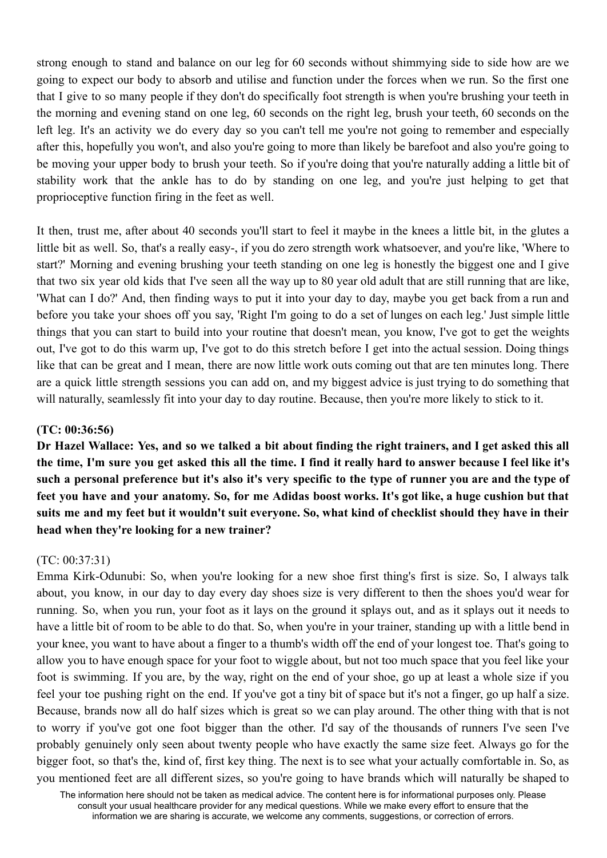strong enough to stand and balance on our leg for 60 seconds without shimmying side to side how are we going to expect our body to absorb and utilise and function under the forces when we run. So the first one that I give to so many people if they don't do specifically foot strength is when you're brushing your teeth in the morning and evening stand on one leg, 60 seconds on the right leg, brush your teeth, 60 seconds on the left leg. It's an activity we do every day so you can't tell me you're not going to remember and especially after this, hopefully you won't, and also you're going to more than likely be barefoot and also you're going to be moving your upper body to brush your teeth. So if you're doing that you're naturally adding a little bit of stability work that the ankle has to do by standing on one leg, and you're just helping to get that proprioceptive function firing in the feet as well.

It then, trust me, after about 40 seconds you'll start to feel it maybe in the knees a little bit, in the glutes a little bit as well. So, that's a really easy-, if you do zero strength work whatsoever, and you're like, 'Where to start?' Morning and evening brushing your teeth standing on one leg is honestly the biggest one and I give that two six year old kids that I've seen all the way up to 80 year old adult that are still running that are like, 'What can I do?' And, then finding ways to put it into your day to day, maybe you get back from a run and before you take your shoes off you say, 'Right I'm going to do a set of lunges on each leg.' Just simple little things that you can start to build into your routine that doesn't mean, you know, I've got to get the weights out, I've got to do this warm up, I've got to do this stretch before I get into the actual session. Doing things like that can be great and I mean, there are now little work outs coming out that are ten minutes long. There are a quick little strength sessions you can add on, and my biggest advice is just trying to do something that will naturally, seamlessly fit into your day to day routine. Because, then you're more likely to stick to it.

## **(TC: 00:36:56)**

Dr Hazel Wallace: Yes, and so we talked a bit about finding the right trainers, and I get asked this all the time, I'm sure you get asked this all the time. I find it really hard to answer because I feel like it's such a personal preference but it's also it's very specific to the type of runner you are and the type of feet you have and your anatomy. So, for me Adidas boost works. It's got like, a huge cushion but that suits me and my feet but it wouldn't suit everyone. So, what kind of checklist should they have in their **head when they're looking for a new trainer?**

#### (TC: 00:37:31)

Emma Kirk-Odunubi: So, when you're looking for a new shoe first thing's first is size. So, I always talk about, you know, in our day to day every day shoes size is very different to then the shoes you'd wear for running. So, when you run, your foot as it lays on the ground it splays out, and as it splays out it needs to have a little bit of room to be able to do that. So, when you're in your trainer, standing up with a little bend in your knee, you want to have about a finger to a thumb's width off the end of your longest toe. That's going to allow you to have enough space for your foot to wiggle about, but not too much space that you feel like your foot is swimming. If you are, by the way, right on the end of your shoe, go up at least a whole size if you feel your toe pushing right on the end. If you've got a tiny bit of space but it's not a finger, go up half a size. Because, brands now all do half sizes which is great so we can play around. The other thing with that is not to worry if you've got one foot bigger than the other. I'd say of the thousands of runners I've seen I've probably genuinely only seen about twenty people who have exactly the same size feet. Always go for the bigger foot, so that's the, kind of, first key thing. The next is to see what your actually comfortable in. So, as you mentioned feet are all different sizes, so you're going to have brands which will naturally be shaped to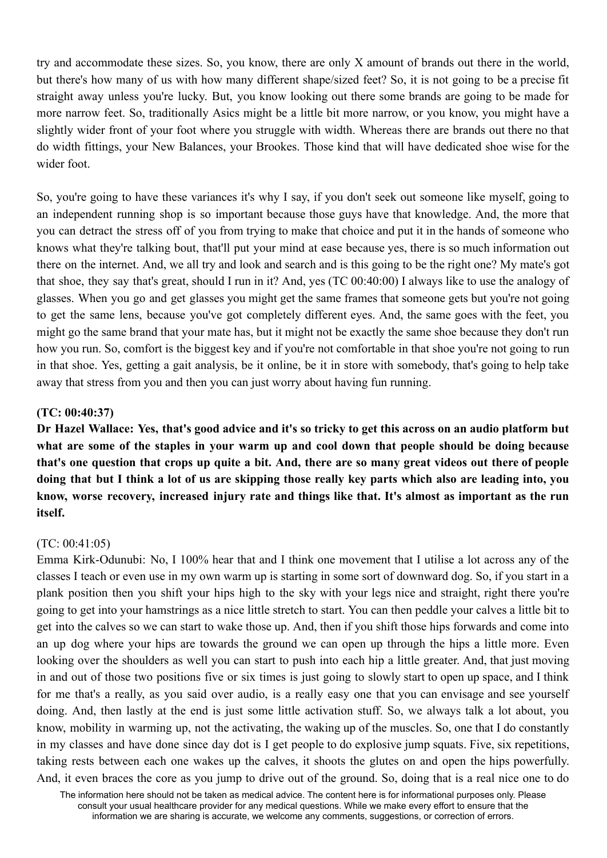try and accommodate these sizes. So, you know, there are only X amount of brands out there in the world, but there's how many of us with how many different shape/sized feet? So, it is not going to be a precise fit straight away unless you're lucky. But, you know looking out there some brands are going to be made for more narrow feet. So, traditionally Asics might be a little bit more narrow, or you know, you might have a slightly wider front of your foot where you struggle with width. Whereas there are brands out there no that do width fittings, your New Balances, your Brookes. Those kind that will have dedicated shoe wise for the wider foot.

So, you're going to have these variances it's why I say, if you don't seek out someone like myself, going to an independent running shop is so important because those guys have that knowledge. And, the more that you can detract the stress off of you from trying to make that choice and put it in the hands of someone who knows what they're talking bout, that'll put your mind at ease because yes, there is so much information out there on the internet. And, we all try and look and search and is this going to be the right one? My mate's got that shoe, they say that's great, should I run in it? And, yes (TC 00:40:00) I always like to use the analogy of glasses. When you go and get glasses you might get the same frames that someone gets but you're not going to get the same lens, because you've got completely different eyes. And, the same goes with the feet, you might go the same brand that your mate has, but it might not be exactly the same shoe because they don't run how you run. So, comfort is the biggest key and if you're not comfortable in that shoe you're not going to run in that shoe. Yes, getting a gait analysis, be it online, be it in store with somebody, that's going to help take away that stress from you and then you can just worry about having fun running.

### **(TC: 00:40:37)**

Dr Hazel Wallace: Yes, that's good advice and it's so tricky to get this across on an audio platform but what are some of the staples in your warm up and cool down that people should be doing because that's one question that crops up quite a bit. And, there are so many great videos out there of people doing that but I think a lot of us are skipping those really key parts which also are leading into, you **know, worse recovery, increased injury rate and things like that. It's almost as important as the run itself.**

# (TC: 00:41:05)

Emma Kirk-Odunubi: No, I 100% hear that and I think one movement that I utilise a lot across any of the classes I teach or even use in my own warm up is starting in some sort of downward dog. So, if you start in a plank position then you shift your hips high to the sky with your legs nice and straight, right there you're going to get into your hamstrings as a nice little stretch to start. You can then peddle your calves a little bit to get into the calves so we can start to wake those up. And, then if you shift those hips forwards and come into an up dog where your hips are towards the ground we can open up through the hips a little more. Even looking over the shoulders as well you can start to push into each hip a little greater. And, that just moving in and out of those two positions five or six times is just going to slowly start to open up space, and I think for me that's a really, as you said over audio, is a really easy one that you can envisage and see yourself doing. And, then lastly at the end is just some little activation stuff. So, we always talk a lot about, you know, mobility in warming up, not the activating, the waking up of the muscles. So, one that I do constantly in my classes and have done since day dot is I get people to do explosive jump squats. Five, six repetitions, taking rests between each one wakes up the calves, it shoots the glutes on and open the hips powerfully. And, it even braces the core as you jump to drive out of the ground. So, doing that is a real nice one to do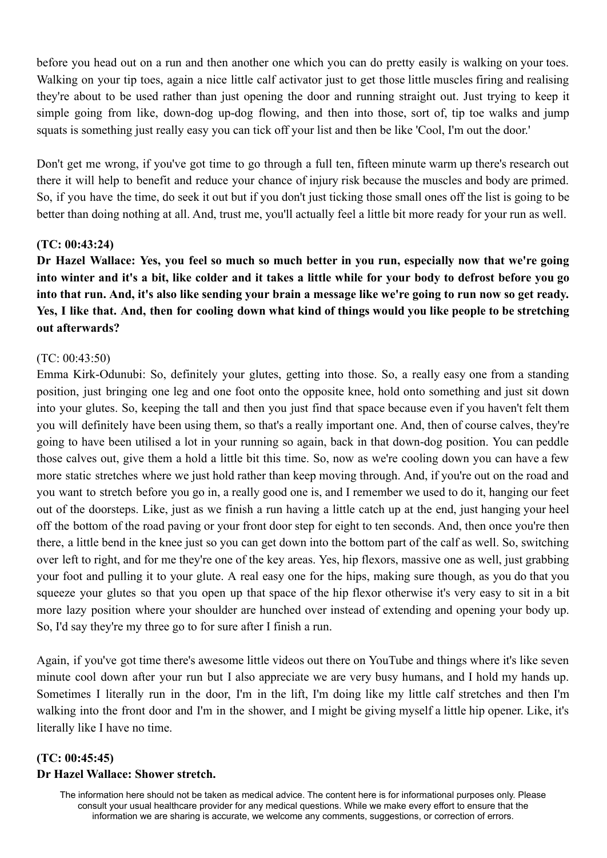before you head out on a run and then another one which you can do pretty easily is walking on your toes. Walking on your tip toes, again a nice little calf activator just to get those little muscles firing and realising they're about to be used rather than just opening the door and running straight out. Just trying to keep it simple going from like, down-dog up-dog flowing, and then into those, sort of, tip toe walks and jump squats is something just really easy you can tick off your list and then be like 'Cool, I'm out the door.'

Don't get me wrong, if you've got time to go through a full ten, fifteen minute warm up there's research out there it will help to benefit and reduce your chance of injury risk because the muscles and body are primed. So, if you have the time, do seek it out but if you don't just ticking those small ones off the list is going to be better than doing nothing at all. And, trust me, you'll actually feel a little bit more ready for your run as well.

### **(TC: 00:43:24)**

Dr Hazel Wallace: Yes, you feel so much so much better in you run, especially now that we're going into winter and it's a bit, like colder and it takes a little while for your body to defrost before you go into that run. And, it's also like sending your brain a message like we're going to run now so get ready. Yes, I like that. And, then for cooling down what kind of things would you like people to be stretching **out afterwards?**

### (TC: 00:43:50)

Emma Kirk-Odunubi: So, definitely your glutes, getting into those. So, a really easy one from a standing position, just bringing one leg and one foot onto the opposite knee, hold onto something and just sit down into your glutes. So, keeping the tall and then you just find that space because even if you haven't felt them you will definitely have been using them, so that's a really important one. And, then of course calves, they're going to have been utilised a lot in your running so again, back in that down-dog position. You can peddle those calves out, give them a hold a little bit this time. So, now as we're cooling down you can have a few more static stretches where we just hold rather than keep moving through. And, if you're out on the road and you want to stretch before you go in, a really good one is, and I remember we used to do it, hanging our feet out of the doorsteps. Like, just as we finish a run having a little catch up at the end, just hanging your heel off the bottom of the road paving or your front door step for eight to ten seconds. And, then once you're then there, a little bend in the knee just so you can get down into the bottom part of the calf as well. So, switching over left to right, and for me they're one of the key areas. Yes, hip flexors, massive one as well, just grabbing your foot and pulling it to your glute. A real easy one for the hips, making sure though, as you do that you squeeze your glutes so that you open up that space of the hip flexor otherwise it's very easy to sit in a bit more lazy position where your shoulder are hunched over instead of extending and opening your body up. So, I'd say they're my three go to for sure after I finish a run.

Again, if you've got time there's awesome little videos out there on YouTube and things where it's like seven minute cool down after your run but I also appreciate we are very busy humans, and I hold my hands up. Sometimes I literally run in the door, I'm in the lift, I'm doing like my little calf stretches and then I'm walking into the front door and I'm in the shower, and I might be giving myself a little hip opener. Like, it's literally like I have no time.

# **(TC: 00:45:45) Dr Hazel Wallace: Shower stretch.**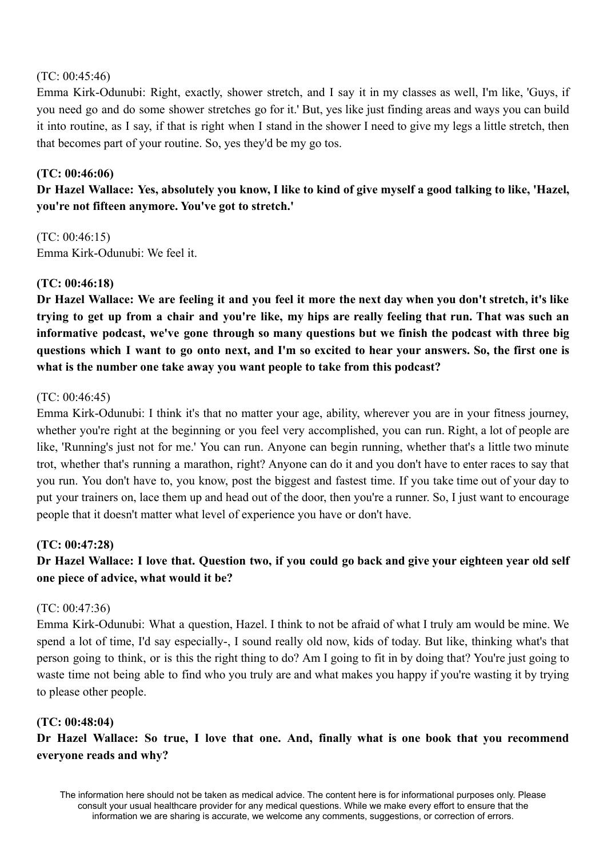## (TC: 00:45:46)

Emma Kirk-Odunubi: Right, exactly, shower stretch, and I say it in my classes as well, I'm like, 'Guys, if you need go and do some shower stretches go for it.' But, yes like just finding areas and ways you can build it into routine, as I say, if that is right when I stand in the shower I need to give my legs a little stretch, then that becomes part of your routine. So, yes they'd be my go tos.

# **(TC: 00:46:06)**

Dr Hazel Wallace: Yes, absolutely you know, I like to kind of give myself a good talking to like, 'Hazel, **you're not fifteen anymore. You've got to stretch.'**

(TC: 00:46:15) Emma Kirk-Odunubi: We feel it.

### **(TC: 00:46:18)**

Dr Hazel Wallace: We are feeling it and you feel it more the next day when you don't stretch, it's like trying to get up from a chair and you're like, my hips are really feeling that run. That was such an **informative podcast, we've gone through so many questions but we finish the podcast with three big** questions which I want to go onto next, and I'm so excited to hear your answers. So, the first one is **what is the number one take away you want people to take from this podcast?**

### (TC: 00:46:45)

Emma Kirk-Odunubi: I think it's that no matter your age, ability, wherever you are in your fitness journey, whether you're right at the beginning or you feel very accomplished, you can run. Right, a lot of people are like, 'Running's just not for me.' You can run. Anyone can begin running, whether that's a little two minute trot, whether that's running a marathon, right? Anyone can do it and you don't have to enter races to say that you run. You don't have to, you know, post the biggest and fastest time. If you take time out of your day to put your trainers on, lace them up and head out of the door, then you're a runner. So, I just want to encourage people that it doesn't matter what level of experience you have or don't have.

# **(TC: 00:47:28)**

# Dr Hazel Wallace: I love that. Question two, if you could go back and give your eighteen year old self **one piece of advice, what would it be?**

#### (TC: 00:47:36)

Emma Kirk-Odunubi: What a question, Hazel. I think to not be afraid of what I truly am would be mine. We spend a lot of time, I'd say especially-, I sound really old now, kids of today. But like, thinking what's that person going to think, or is this the right thing to do? Am I going to fit in by doing that? You're just going to waste time not being able to find who you truly are and what makes you happy if you're wasting it by trying to please other people.

#### **(TC: 00:48:04)**

**Dr Hazel Wallace: So true, I love that one. And, finally what is one book that you recommend everyone reads and why?**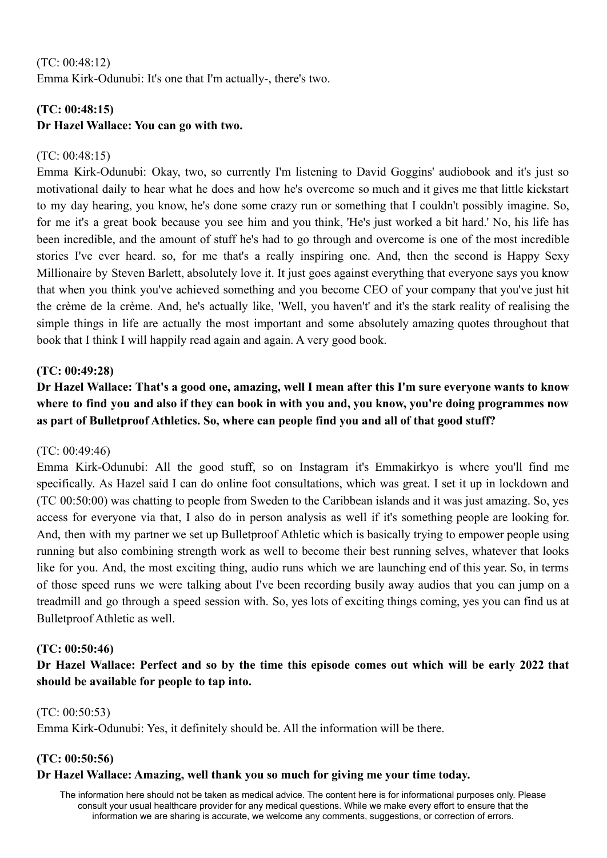# (TC: 00:48:12) Emma Kirk-Odunubi: It's one that I'm actually-, there's two.

# **(TC: 00:48:15) Dr Hazel Wallace: You can go with two.**

# $(TC: 00.48.15)$

Emma Kirk-Odunubi: Okay, two, so currently I'm listening to David Goggins' audiobook and it's just so motivational daily to hear what he does and how he's overcome so much and it gives me that little kickstart to my day hearing, you know, he's done some crazy run or something that I couldn't possibly imagine. So, for me it's a great book because you see him and you think, 'He's just worked a bit hard.' No, his life has been incredible, and the amount of stuff he's had to go through and overcome is one of the most incredible stories I've ever heard. so, for me that's a really inspiring one. And, then the second is Happy Sexy Millionaire by Steven Barlett, absolutely love it. It just goes against everything that everyone says you know that when you think you've achieved something and you become CEO of your company that you've just hit the crème de la crème. And, he's actually like, 'Well, you haven't' and it's the stark reality of realising the simple things in life are actually the most important and some absolutely amazing quotes throughout that book that I think I will happily read again and again. A very good book.

# **(TC: 00:49:28)**

Dr Hazel Wallace: That's a good one, amazing, well I mean after this I'm sure everyone wants to know where to find you and also if they can book in with you and, you know, you're doing programmes now **as part of Bulletproof Athletics. So, where can people find you and all of that good stuff?**

# (TC: 00:49:46)

Emma Kirk-Odunubi: All the good stuff, so on Instagram it's Emmakirkyo is where you'll find me specifically. As Hazel said I can do online foot consultations, which was great. I set it up in lockdown and (TC 00:50:00) was chatting to people from Sweden to the Caribbean islands and it was just amazing. So, yes access for everyone via that, I also do in person analysis as well if it's something people are looking for. And, then with my partner we set up Bulletproof Athletic which is basically trying to empower people using running but also combining strength work as well to become their best running selves, whatever that looks like for you. And, the most exciting thing, audio runs which we are launching end of this year. So, in terms of those speed runs we were talking about I've been recording busily away audios that you can jump on a treadmill and go through a speed session with. So, yes lots of exciting things coming, yes you can find us at Bulletproof Athletic as well.

# **(TC: 00:50:46)**

Dr Hazel Wallace: Perfect and so by the time this episode comes out which will be early 2022 that **should be available for people to tap into.**

# (TC: 00:50:53)

Emma Kirk-Odunubi: Yes, it definitely should be. All the information will be there.

# **(TC: 00:50:56)**

# **Dr Hazel Wallace: Amazing, well thank you so much for giving me your time today.**